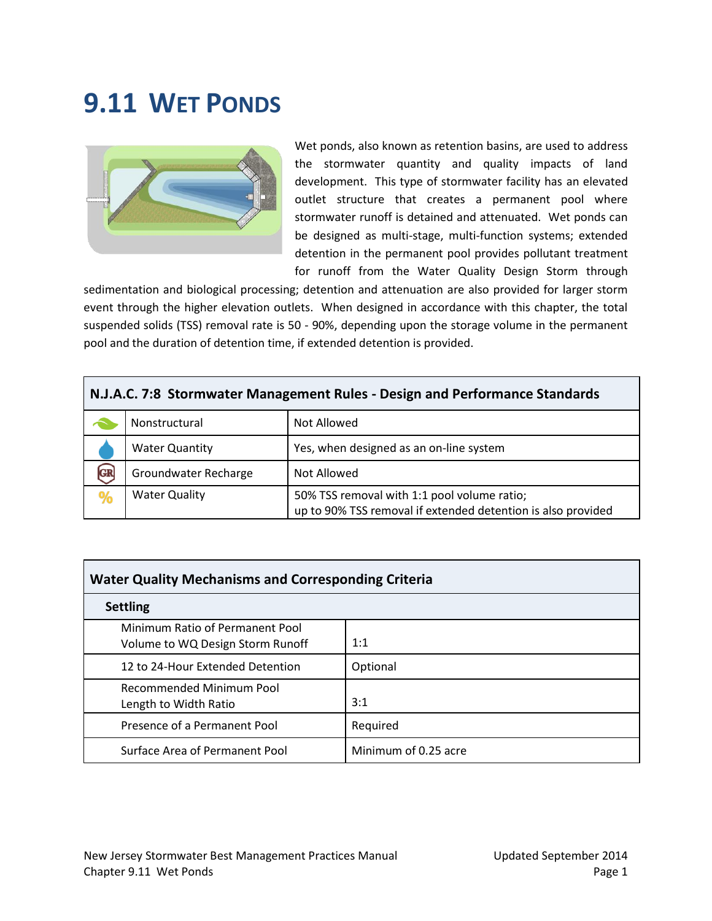# **9.11 WET PONDS**



Wet ponds, also known as retention basins, are used to address the stormwater quantity and quality impacts of land development. This type of stormwater facility has an elevated outlet structure that creates a permanent pool where stormwater runoff is detained and attenuated. Wet ponds can be designed as multi-stage, multi-function systems; extended detention in the permanent pool provides pollutant treatment for runoff from the Water Quality Design Storm through

sedimentation and biological processing; detention and attenuation are also provided for larger storm event through the higher elevation outlets. When designed in accordance with this chapter, the total suspended solids (TSS) removal rate is 50 - 90%, depending upon the storage volume in the permanent pool and the duration of detention time, if extended detention is provided.

| N.J.A.C. 7:8 Stormwater Management Rules - Design and Performance Standards |                       |                                                                                                             |  |  |  |  |
|-----------------------------------------------------------------------------|-----------------------|-------------------------------------------------------------------------------------------------------------|--|--|--|--|
|                                                                             | Nonstructural         | Not Allowed                                                                                                 |  |  |  |  |
|                                                                             | <b>Water Quantity</b> | Yes, when designed as an on-line system                                                                     |  |  |  |  |
| <b>GR</b>                                                                   | Groundwater Recharge  | Not Allowed                                                                                                 |  |  |  |  |
| %                                                                           | <b>Water Quality</b>  | 50% TSS removal with 1:1 pool volume ratio;<br>up to 90% TSS removal if extended detention is also provided |  |  |  |  |

| <b>Water Quality Mechanisms and Corresponding Criteria</b>          |                      |  |  |  |  |  |
|---------------------------------------------------------------------|----------------------|--|--|--|--|--|
| <b>Settling</b>                                                     |                      |  |  |  |  |  |
| Minimum Ratio of Permanent Pool<br>Volume to WQ Design Storm Runoff | 1:1                  |  |  |  |  |  |
| 12 to 24-Hour Extended Detention                                    | Optional             |  |  |  |  |  |
| <b>Recommended Minimum Pool</b><br>Length to Width Ratio            | 3:1                  |  |  |  |  |  |
| Presence of a Permanent Pool                                        | Required             |  |  |  |  |  |
| Surface Area of Permanent Pool                                      | Minimum of 0.25 acre |  |  |  |  |  |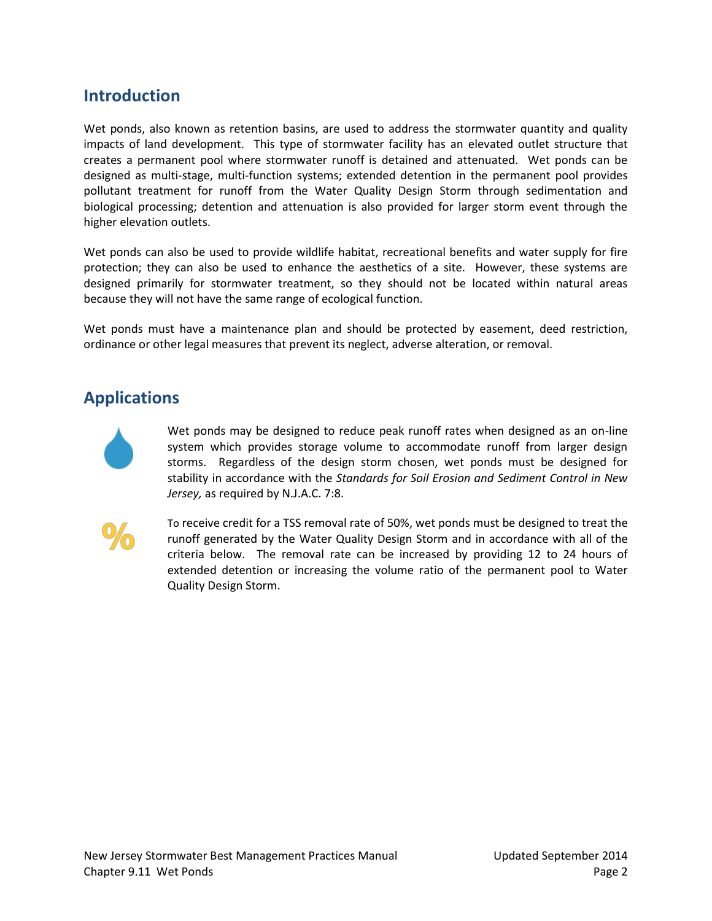# **Introduction**

Wet ponds, also known as retention basins, are used to address the stormwater quantity and quality impacts of land development. This type of stormwater facility has an elevated outlet structure that creates a permanent pool where stormwater runoff is detained and attenuated. Wet ponds can be designed as multi-stage, multi-function systems; extended detention in the permanent pool provides pollutant treatment for runoff from the Water Quality Design Storm through sedimentation and biological processing; detention and attenuation is also provided for larger storm event through the higher elevation outlets.

Wet ponds can also be used to provide wildlife habitat, recreational benefits and water supply for fire protection; they can also be used to enhance the aesthetics of a site. However, these systems are designed primarily for stormwater treatment, so they should not be located within natural areas because they will not have the same range of ecological function.

Wet ponds must have a maintenance plan and should be protected by easement, deed restriction, ordinance or other legal measures that prevent its neglect, adverse alteration, or removal.

# **Applications**



Wet ponds may be designed to reduce peak runoff rates when designed as an on-line system which provides storage volume to accommodate runoff from larger design storms. Regardless of the design storm chosen, wet ponds must be designed for stability in accordance with the *Standards for Soil Erosion and Sediment Control in New Jersey,* as required by N.J.A.C. 7:8.



To receive credit for a TSS removal rate of 50%, wet ponds must be designed to treat the runoff generated by the Water Quality Design Storm and in accordance with all of the criteria below. The removal rate can be increased by providing 12 to 24 hours of extended detention or increasing the volume ratio of the permanent pool to Water Quality Design Storm.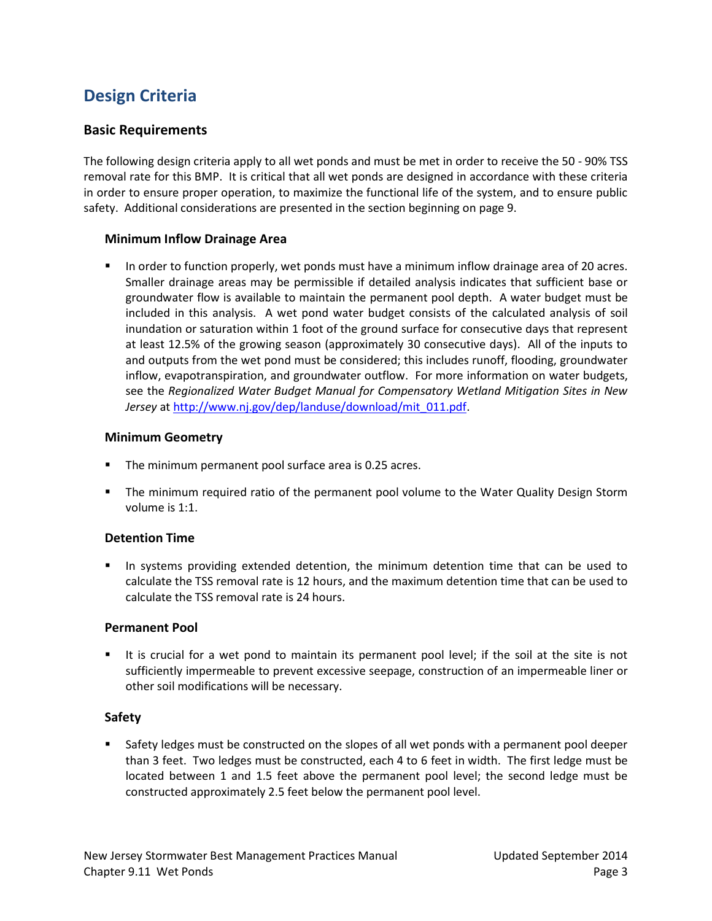# **Design Criteria**

### **Basic Requirements**

The following design criteria apply to all wet ponds and must be met in order to receive the 50 - 90% TSS removal rate for this BMP. It is critical that all wet ponds are designed in accordance with these criteria in order to ensure proper operation, to maximize the functional life of the system, and to ensure public safety. Additional considerations are presented in the section beginning on page 9.

#### **Minimum Inflow Drainage Area**

 In order to function properly, wet ponds must have a minimum inflow drainage area of 20 acres. Smaller drainage areas may be permissible if detailed analysis indicates that sufficient base or groundwater flow is available to maintain the permanent pool depth. A water budget must be included in this analysis. A wet pond water budget consists of the calculated analysis of soil inundation or saturation within 1 foot of the ground surface for consecutive days that represent at least 12.5% of the growing season (approximately 30 consecutive days). All of the inputs to and outputs from the wet pond must be considered; this includes runoff, flooding, groundwater inflow, evapotranspiration, and groundwater outflow. For more information on water budgets, see the *Regionalized Water Budget Manual for Compensatory Wetland Mitigation Sites in New Jersey* at [http://www.nj.gov/dep/landuse/download/mit\\_011.pdf.](http://www.nj.gov/dep/landuse/download/mit_011.pdf)

#### **Minimum Geometry**

- The minimum permanent pool surface area is 0.25 acres.
- **The minimum required ratio of the permanent pool volume to the Water Quality Design Storm** volume is 1:1.

#### **Detention Time**

 In systems providing extended detention, the minimum detention time that can be used to calculate the TSS removal rate is 12 hours, and the maximum detention time that can be used to calculate the TSS removal rate is 24 hours.

#### **Permanent Pool**

 It is crucial for a wet pond to maintain its permanent pool level; if the soil at the site is not sufficiently impermeable to prevent excessive seepage, construction of an impermeable liner or other soil modifications will be necessary.

#### **Safety**

**Safety ledges must be constructed on the slopes of all wet ponds with a permanent pool deeper** than 3 feet. Two ledges must be constructed, each 4 to 6 feet in width. The first ledge must be located between 1 and 1.5 feet above the permanent pool level; the second ledge must be constructed approximately 2.5 feet below the permanent pool level.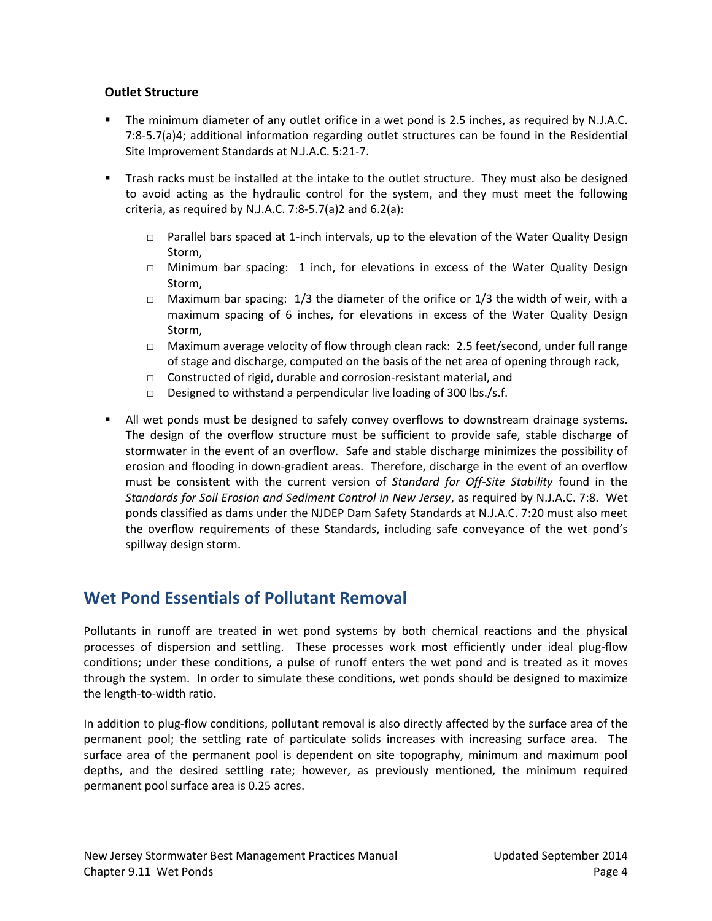### **Outlet Structure**

- The minimum diameter of any outlet orifice in a wet pond is 2.5 inches, as required by N.J.A.C. 7:8-5.7(a)4; additional information regarding outlet structures can be found in the Residential Site Improvement Standards at N.J.A.C. 5:21-7.
- Trash racks must be installed at the intake to the outlet structure. They must also be designed to avoid acting as the hydraulic control for the system, and they must meet the following criteria, as required by N.J.A.C. 7:8-5.7(a)2 and 6.2(a):
	- □ Parallel bars spaced at 1-inch intervals, up to the elevation of the Water Quality Design Storm,
	- □ Minimum bar spacing: 1 inch, for elevations in excess of the Water Quality Design Storm,
	- □ Maximum bar spacing:  $1/3$  the diameter of the orifice or  $1/3$  the width of weir, with a maximum spacing of 6 inches, for elevations in excess of the Water Quality Design Storm,
	- □ Maximum average velocity of flow through clean rack: 2.5 feet/second, under full range of stage and discharge, computed on the basis of the net area of opening through rack,
	- □ Constructed of rigid, durable and corrosion-resistant material, and
	- $\Box$  Designed to withstand a perpendicular live loading of 300 lbs./s.f.
- All wet ponds must be designed to safely convey overflows to downstream drainage systems. The design of the overflow structure must be sufficient to provide safe, stable discharge of stormwater in the event of an overflow. Safe and stable discharge minimizes the possibility of erosion and flooding in down-gradient areas. Therefore, discharge in the event of an overflow must be consistent with the current version of *Standard for Off-Site Stability* found in the *Standards for Soil Erosion and Sediment Control in New Jersey*, as required by N.J.A.C. 7:8. Wet ponds classified as dams under the NJDEP Dam Safety Standards at N.J.A.C. 7:20 must also meet the overflow requirements of these Standards, including safe conveyance of the wet pond's spillway design storm.

# **Wet Pond Essentials of Pollutant Removal**

Pollutants in runoff are treated in wet pond systems by both chemical reactions and the physical processes of dispersion and settling. These processes work most efficiently under ideal plug-flow conditions; under these conditions, a pulse of runoff enters the wet pond and is treated as it moves through the system. In order to simulate these conditions, wet ponds should be designed to maximize the length-to-width ratio.

In addition to plug-flow conditions, pollutant removal is also directly affected by the surface area of the permanent pool; the settling rate of particulate solids increases with increasing surface area. The surface area of the permanent pool is dependent on site topography, minimum and maximum pool depths, and the desired settling rate; however, as previously mentioned, the minimum required permanent pool surface area is 0.25 acres.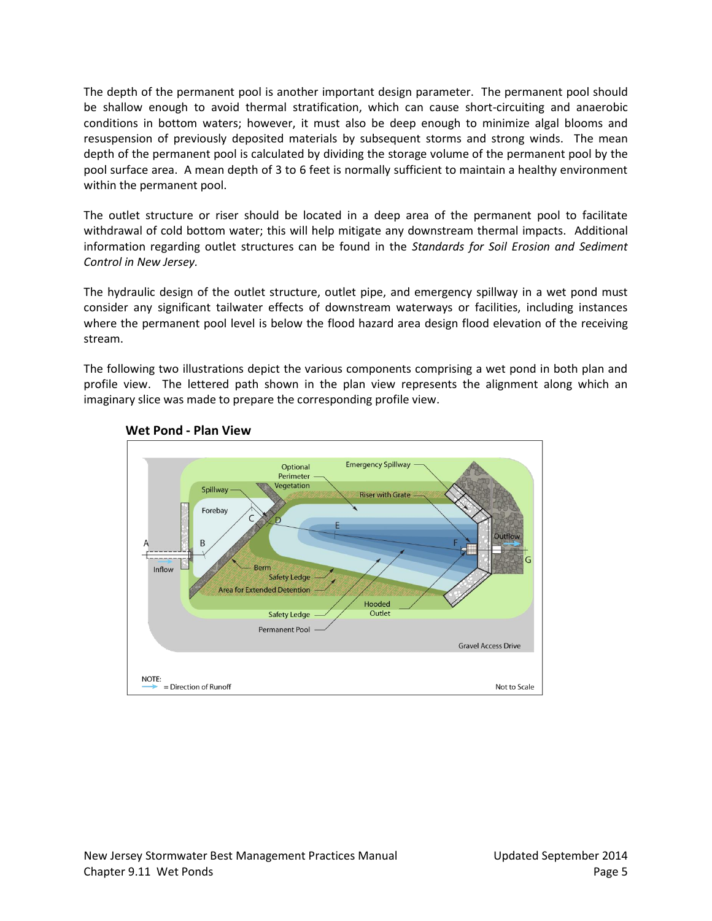The depth of the permanent pool is another important design parameter. The permanent pool should be shallow enough to avoid thermal stratification, which can cause short-circuiting and anaerobic conditions in bottom waters; however, it must also be deep enough to minimize algal blooms and resuspension of previously deposited materials by subsequent storms and strong winds. The mean depth of the permanent pool is calculated by dividing the storage volume of the permanent pool by the pool surface area. A mean depth of 3 to 6 feet is normally sufficient to maintain a healthy environment within the permanent pool.

The outlet structure or riser should be located in a deep area of the permanent pool to facilitate withdrawal of cold bottom water; this will help mitigate any downstream thermal impacts. Additional information regarding outlet structures can be found in the *Standards for Soil Erosion and Sediment Control in New Jersey.*

The hydraulic design of the outlet structure, outlet pipe, and emergency spillway in a wet pond must consider any significant tailwater effects of downstream waterways or facilities, including instances where the permanent pool level is below the flood hazard area design flood elevation of the receiving stream.

The following two illustrations depict the various components comprising a wet pond in both plan and profile view. The lettered path shown in the plan view represents the alignment along which an imaginary slice was made to prepare the corresponding profile view.



### **Wet Pond - Plan View**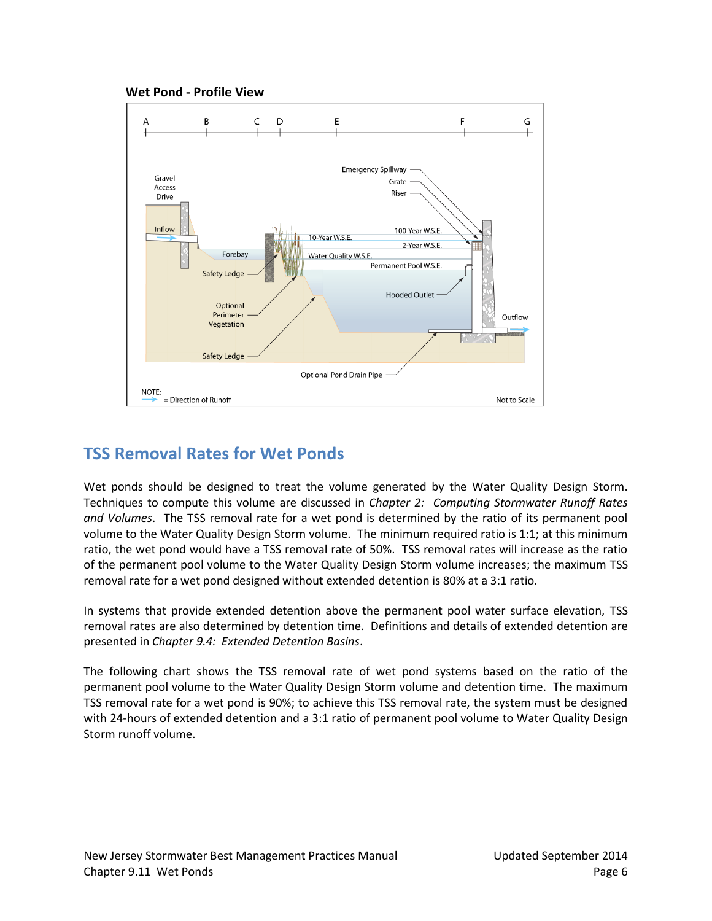



# **TSS Removal Rates for Wet Ponds**

Wet ponds should be designed to treat the volume generated by the Water Quality Design Storm. Techniques to compute this volume are discussed in *Chapter 2: Computing Stormwater Runoff Rates and Volumes*. The TSS removal rate for a wet pond is determined by the ratio of its permanent pool volume to the Water Quality Design Storm volume. The minimum required ratio is 1:1; at this minimum ratio, the wet pond would have a TSS removal rate of 50%. TSS removal rates will increase as the ratio of the permanent pool volume to the Water Quality Design Storm volume increases; the maximum TSS removal rate for a wet pond designed without extended detention is 80% at a 3:1 ratio.

In systems that provide extended detention above the permanent pool water surface elevation, TSS removal rates are also determined by detention time. Definitions and details of extended detention are presented in *Chapter 9.4: Extended Detention Basins*.

The following chart shows the TSS removal rate of wet pond systems based on the ratio of the permanent pool volume to the Water Quality Design Storm volume and detention time. The maximum TSS removal rate for a wet pond is 90%; to achieve this TSS removal rate, the system must be designed with 24-hours of extended detention and a 3:1 ratio of permanent pool volume to Water Quality Design Storm runoff volume.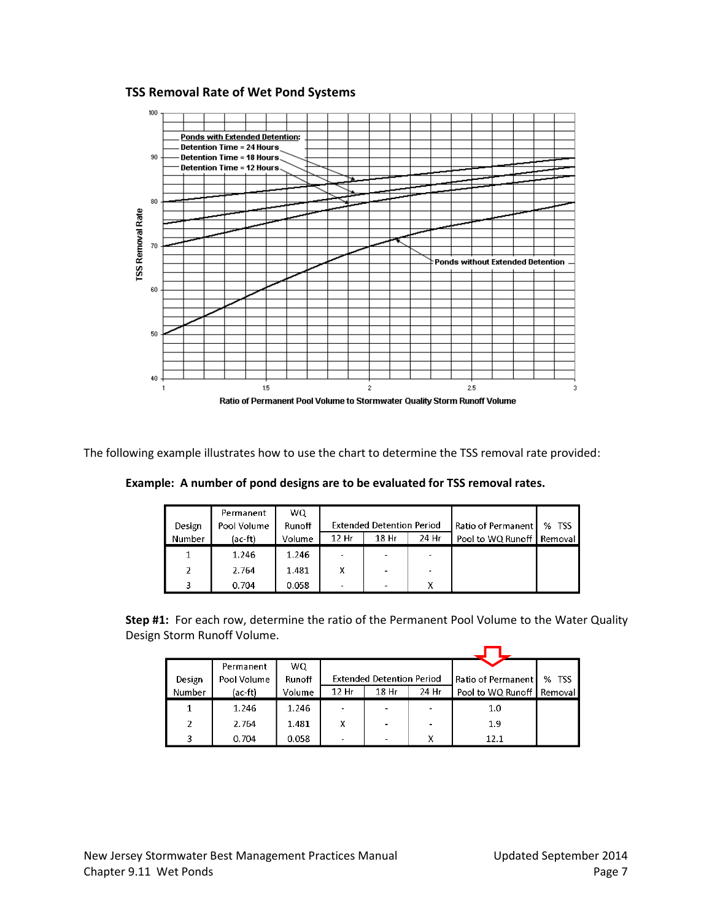#### **TSS Removal Rate of Wet Pond Systems**



The following example illustrates how to use the chart to determine the TSS removal rate provided:

|        | Permanent   | WO.    |                                  |      |       |                             |         |
|--------|-------------|--------|----------------------------------|------|-------|-----------------------------|---------|
| Design | Pool Volume | Runoff | <b>Extended Detention Period</b> |      |       | Ratio of Permanent          | $%$ TSS |
| Number | (ac-ft)     | Volume | 12 Hr                            | 18Hr | 24 Hr | Pool to WQ Runoff   Removal |         |
|        | 1.246       | 1.246  | ٠                                |      |       |                             |         |
| 2      | 2.764       | 1.481  | x                                |      |       |                             |         |
|        | 0.704       | 0.058  |                                  |      |       |                             |         |

**Example: A number of pond designs are to be evaluated for TSS removal rates.**

**Step #1:** For each row, determine the ratio of the Permanent Pool Volume to the Water Quality Design Storm Runoff Volume.

|        | Permanent   | WO.    |                                  |       |       |                             |         |
|--------|-------------|--------|----------------------------------|-------|-------|-----------------------------|---------|
| Design | Pool Volume | Runoff | <b>Extended Detention Period</b> |       |       | <b>Ratio of Permanent L</b> | $%$ TSS |
| Number | (ac-ft)     | Volume | 12 Hr                            | 18 Hr | 24 Hr | Pool to WQ Runoff           | Removal |
|        | 1.246       | 1.246  |                                  |       |       | 1.0                         |         |
| 2      | 2.764       | 1.481  | Χ                                |       |       | 1.9                         |         |
| 3      | 0.704       | 0.058  |                                  |       | x     | 12.1                        |         |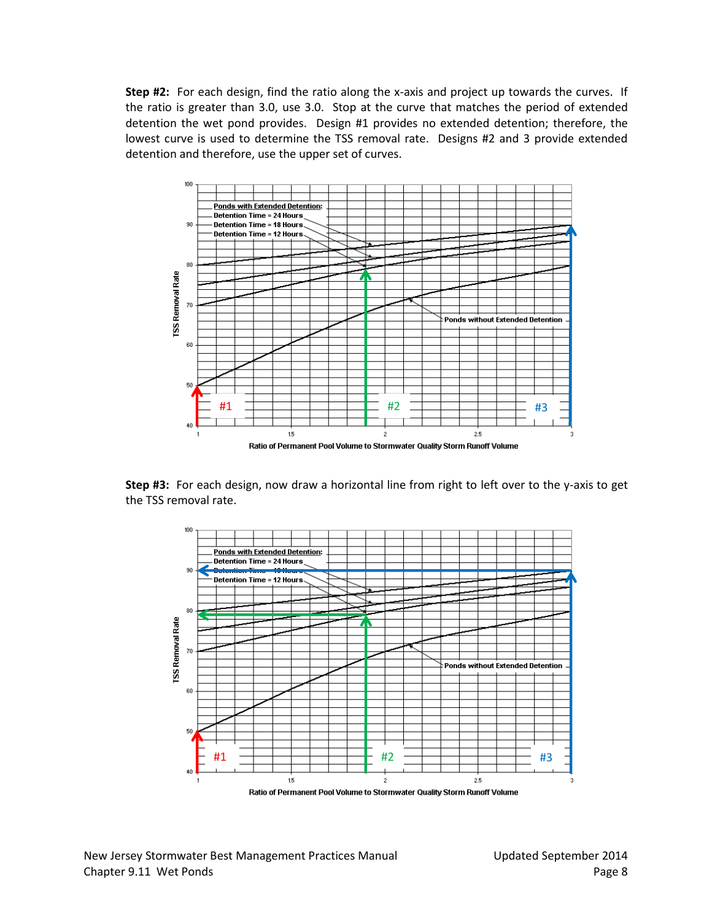**Step #2:** For each design, find the ratio along the x-axis and project up towards the curves. If the ratio is greater than 3.0, use 3.0. Stop at the curve that matches the period of extended detention the wet pond provides. Design #1 provides no extended detention; therefore, the lowest curve is used to determine the TSS removal rate. Designs #2 and 3 provide extended detention and therefore, use the upper set of curves.



**Step #3:** For each design, now draw a horizontal line from right to left over to the y-axis to get the TSS removal rate.

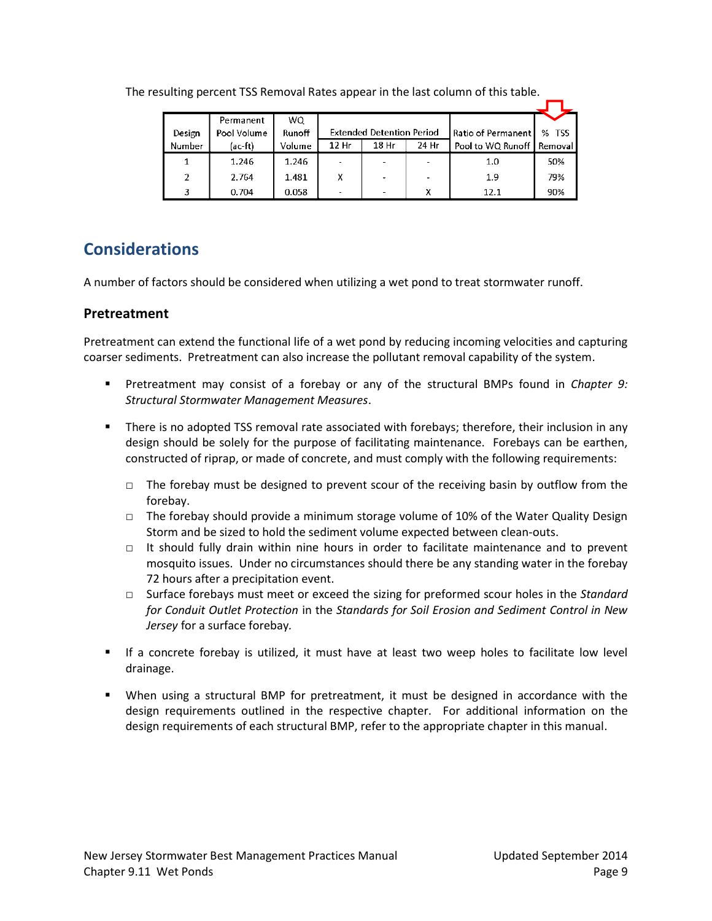| Design | Permanent<br>Pool Volume | WQ.<br>Runoff |                  | <b>Extended Detention Period</b> |       | Ratio of Permanent          | % TSS |
|--------|--------------------------|---------------|------------------|----------------------------------|-------|-----------------------------|-------|
| Number | (ac-ft)                  | Volume        | 12 <sub>hr</sub> | 18 Hr                            | 24 Hr | Pool to WQ Runoff   Removal |       |
| 1      | 1.246                    | 1.246         |                  |                                  |       | 1.0                         | 50%   |
| 2      | 2.764                    | 1.481         | x                |                                  |       | 1.9                         | 79%   |
| 3      | 0.704                    | 0.058         | $\sim$           |                                  | v     | 12.1                        | 90%   |

The resulting percent TSS Removal Rates appear in the last column of this table.

# **Considerations**

A number of factors should be considered when utilizing a wet pond to treat stormwater runoff.

# **Pretreatment**

Pretreatment can extend the functional life of a wet pond by reducing incoming velocities and capturing coarser sediments. Pretreatment can also increase the pollutant removal capability of the system.

- Pretreatment may consist of a forebay or any of the structural BMPs found in *Chapter 9: Structural Stormwater Management Measures*.
- There is no adopted TSS removal rate associated with forebays; therefore, their inclusion in any design should be solely for the purpose of facilitating maintenance. Forebays can be earthen, constructed of riprap, or made of concrete, and must comply with the following requirements:
	- $\Box$  The forebay must be designed to prevent scour of the receiving basin by outflow from the forebay.
	- □ The forebay should provide a minimum storage volume of 10% of the Water Quality Design Storm and be sized to hold the sediment volume expected between clean-outs.
	- $\Box$  It should fully drain within nine hours in order to facilitate maintenance and to prevent mosquito issues. Under no circumstances should there be any standing water in the forebay 72 hours after a precipitation event.
	- □ Surface forebays must meet or exceed the sizing for preformed scour holes in the *Standard for Conduit Outlet Protection* in the *Standards for Soil Erosion and Sediment Control in New Jersey* for a surface forebay*.*
- If a concrete forebay is utilized, it must have at least two weep holes to facilitate low level drainage.
- When using a structural BMP for pretreatment, it must be designed in accordance with the design requirements outlined in the respective chapter. For additional information on the design requirements of each structural BMP, refer to the appropriate chapter in this manual.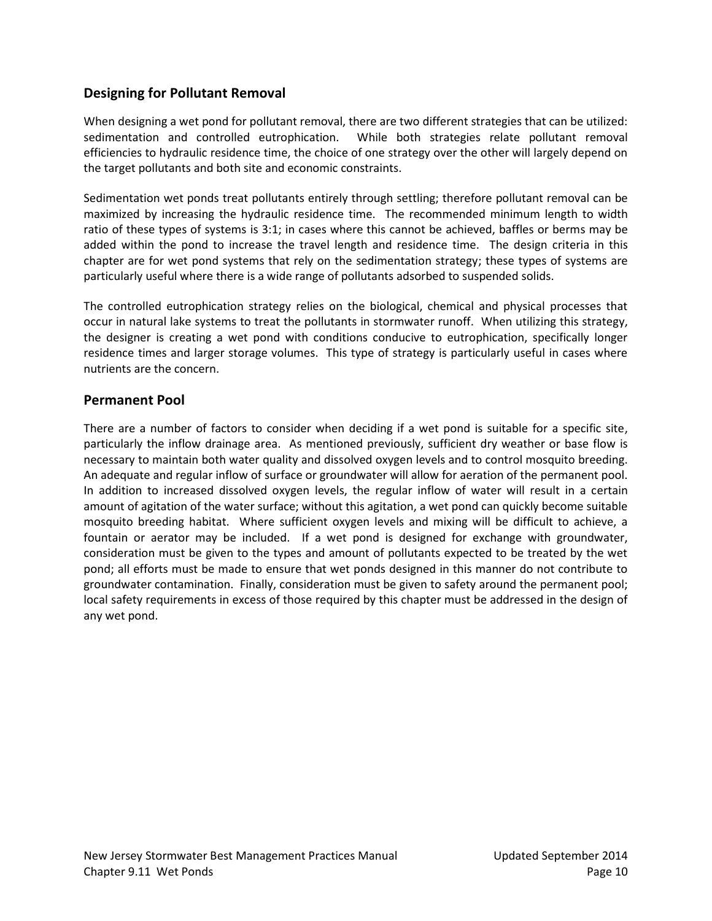## **Designing for Pollutant Removal**

When designing a wet pond for pollutant removal, there are two different strategies that can be utilized: sedimentation and controlled eutrophication. While both strategies relate pollutant removal efficiencies to hydraulic residence time, the choice of one strategy over the other will largely depend on the target pollutants and both site and economic constraints.

Sedimentation wet ponds treat pollutants entirely through settling; therefore pollutant removal can be maximized by increasing the hydraulic residence time. The recommended minimum length to width ratio of these types of systems is 3:1; in cases where this cannot be achieved, baffles or berms may be added within the pond to increase the travel length and residence time. The design criteria in this chapter are for wet pond systems that rely on the sedimentation strategy; these types of systems are particularly useful where there is a wide range of pollutants adsorbed to suspended solids.

The controlled eutrophication strategy relies on the biological, chemical and physical processes that occur in natural lake systems to treat the pollutants in stormwater runoff. When utilizing this strategy, the designer is creating a wet pond with conditions conducive to eutrophication, specifically longer residence times and larger storage volumes. This type of strategy is particularly useful in cases where nutrients are the concern.

### **Permanent Pool**

There are a number of factors to consider when deciding if a wet pond is suitable for a specific site, particularly the inflow drainage area. As mentioned previously, sufficient dry weather or base flow is necessary to maintain both water quality and dissolved oxygen levels and to control mosquito breeding. An adequate and regular inflow of surface or groundwater will allow for aeration of the permanent pool. In addition to increased dissolved oxygen levels, the regular inflow of water will result in a certain amount of agitation of the water surface; without this agitation, a wet pond can quickly become suitable mosquito breeding habitat. Where sufficient oxygen levels and mixing will be difficult to achieve, a fountain or aerator may be included. If a wet pond is designed for exchange with groundwater, consideration must be given to the types and amount of pollutants expected to be treated by the wet pond; all efforts must be made to ensure that wet ponds designed in this manner do not contribute to groundwater contamination. Finally, consideration must be given to safety around the permanent pool; local safety requirements in excess of those required by this chapter must be addressed in the design of any wet pond.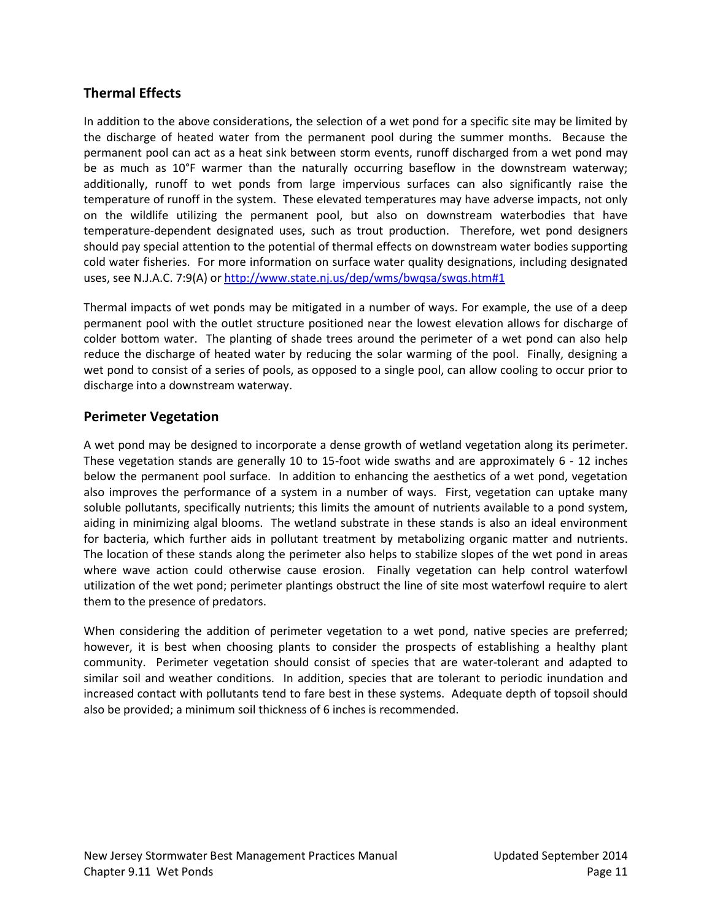# **Thermal Effects**

In addition to the above considerations, the selection of a wet pond for a specific site may be limited by the discharge of heated water from the permanent pool during the summer months. Because the permanent pool can act as a heat sink between storm events, runoff discharged from a wet pond may be as much as 10°F warmer than the naturally occurring baseflow in the downstream waterway; additionally, runoff to wet ponds from large impervious surfaces can also significantly raise the temperature of runoff in the system. These elevated temperatures may have adverse impacts, not only on the wildlife utilizing the permanent pool, but also on downstream waterbodies that have temperature-dependent designated uses, such as trout production. Therefore, wet pond designers should pay special attention to the potential of thermal effects on downstream water bodies supporting cold water fisheries. For more information on surface water quality designations, including designated uses, see N.J.A.C. 7:9(A) or<http://www.state.nj.us/dep/wms/bwqsa/swqs.htm#1>

Thermal impacts of wet ponds may be mitigated in a number of ways. For example, the use of a deep permanent pool with the outlet structure positioned near the lowest elevation allows for discharge of colder bottom water. The planting of shade trees around the perimeter of a wet pond can also help reduce the discharge of heated water by reducing the solar warming of the pool. Finally, designing a wet pond to consist of a series of pools, as opposed to a single pool, can allow cooling to occur prior to discharge into a downstream waterway.

### **Perimeter Vegetation**

A wet pond may be designed to incorporate a dense growth of wetland vegetation along its perimeter. These vegetation stands are generally 10 to 15-foot wide swaths and are approximately 6 - 12 inches below the permanent pool surface. In addition to enhancing the aesthetics of a wet pond, vegetation also improves the performance of a system in a number of ways. First, vegetation can uptake many soluble pollutants, specifically nutrients; this limits the amount of nutrients available to a pond system, aiding in minimizing algal blooms. The wetland substrate in these stands is also an ideal environment for bacteria, which further aids in pollutant treatment by metabolizing organic matter and nutrients. The location of these stands along the perimeter also helps to stabilize slopes of the wet pond in areas where wave action could otherwise cause erosion. Finally vegetation can help control waterfowl utilization of the wet pond; perimeter plantings obstruct the line of site most waterfowl require to alert them to the presence of predators.

When considering the addition of perimeter vegetation to a wet pond, native species are preferred; however, it is best when choosing plants to consider the prospects of establishing a healthy plant community. Perimeter vegetation should consist of species that are water-tolerant and adapted to similar soil and weather conditions. In addition, species that are tolerant to periodic inundation and increased contact with pollutants tend to fare best in these systems. Adequate depth of topsoil should also be provided; a minimum soil thickness of 6 inches is recommended.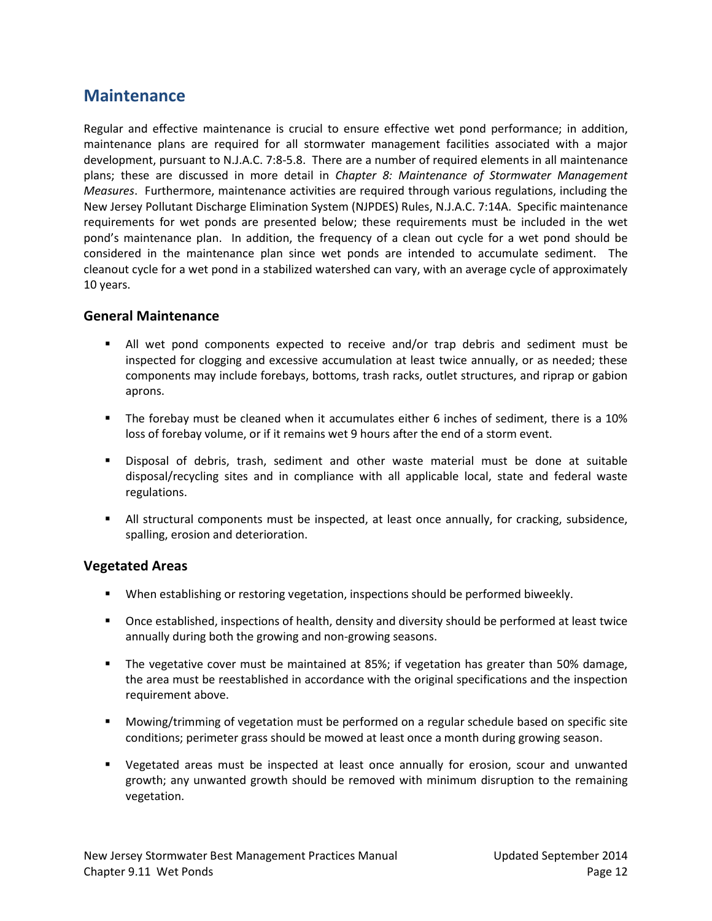# **Maintenance**

Regular and effective maintenance is crucial to ensure effective wet pond performance; in addition, maintenance plans are required for all stormwater management facilities associated with a major development, pursuant to N.J.A.C. 7:8-5.8. There are a number of required elements in all maintenance plans; these are discussed in more detail in *Chapter 8: Maintenance of Stormwater Management Measures*. Furthermore, maintenance activities are required through various regulations, including the New Jersey Pollutant Discharge Elimination System (NJPDES) Rules, N.J.A.C. 7:14A. Specific maintenance requirements for wet ponds are presented below; these requirements must be included in the wet pond's maintenance plan. In addition, the frequency of a clean out cycle for a wet pond should be considered in the maintenance plan since wet ponds are intended to accumulate sediment. The cleanout cycle for a wet pond in a stabilized watershed can vary, with an average cycle of approximately 10 years.

### **General Maintenance**

- All wet pond components expected to receive and/or trap debris and sediment must be inspected for clogging and excessive accumulation at least twice annually, or as needed; these components may include forebays, bottoms, trash racks, outlet structures, and riprap or gabion aprons.
- The forebay must be cleaned when it accumulates either 6 inches of sediment, there is a 10% loss of forebay volume, or if it remains wet 9 hours after the end of a storm event.
- Disposal of debris, trash, sediment and other waste material must be done at suitable disposal/recycling sites and in compliance with all applicable local, state and federal waste regulations.
- All structural components must be inspected, at least once annually, for cracking, subsidence, spalling, erosion and deterioration.

### **Vegetated Areas**

- When establishing or restoring vegetation, inspections should be performed biweekly.
- Once established, inspections of health, density and diversity should be performed at least twice annually during both the growing and non-growing seasons.
- The vegetative cover must be maintained at 85%; if vegetation has greater than 50% damage, the area must be reestablished in accordance with the original specifications and the inspection requirement above.
- **Mowing/trimming of vegetation must be performed on a regular schedule based on specific site** conditions; perimeter grass should be mowed at least once a month during growing season.
- Vegetated areas must be inspected at least once annually for erosion, scour and unwanted growth; any unwanted growth should be removed with minimum disruption to the remaining vegetation.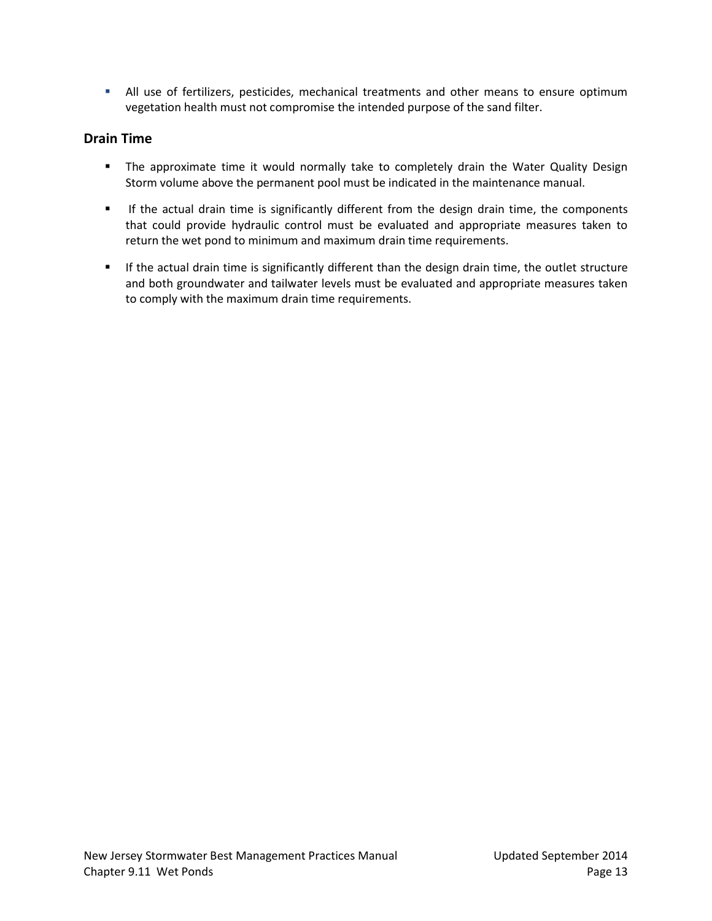All use of fertilizers, pesticides, mechanical treatments and other means to ensure optimum vegetation health must not compromise the intended purpose of the sand filter.

### **Drain Time**

- **The approximate time it would normally take to completely drain the Water Quality Design** Storm volume above the permanent pool must be indicated in the maintenance manual.
- **If the actual drain time is significantly different from the design drain time, the components** that could provide hydraulic control must be evaluated and appropriate measures taken to return the wet pond to minimum and maximum drain time requirements.
- If the actual drain time is significantly different than the design drain time, the outlet structure and both groundwater and tailwater levels must be evaluated and appropriate measures taken to comply with the maximum drain time requirements.